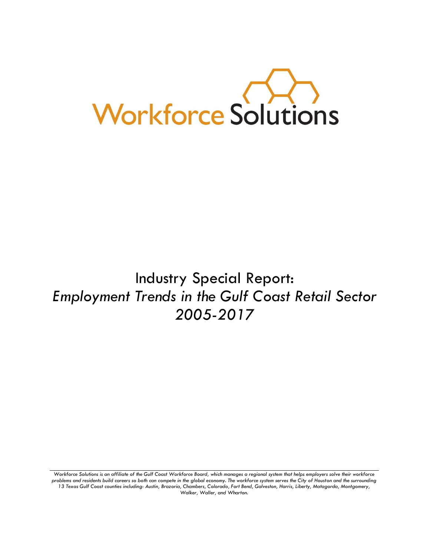

# Industry Special Report: *Employment Trends in the Gulf Coast Retail Sector 2005-2017*

*Workforce Solutions is an affiliate of the Gulf Coast Workforce Board, which manages a regional system that helps employers solve their workforce problems and residents build careers so both can compete in the global economy. The workforce system serves the City of Houston and the surrounding 13 Texas Gulf Coast counties including: Austin, Brazoria, Chambers, Colorado, Fort Bend, Galveston, Harris, Liberty, Matagorda, Montgomery, Walker, Waller, and Wharton.*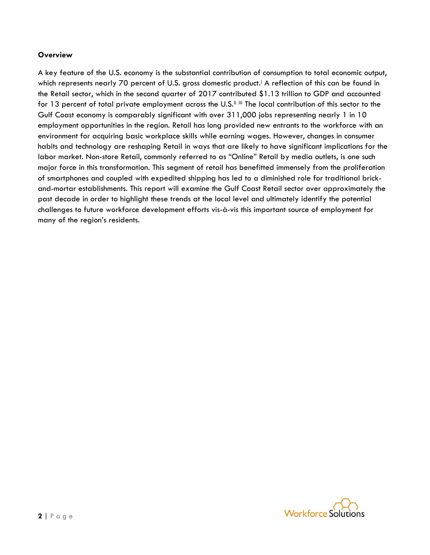#### **Overview**

A key feature of the U.S. economy is the substantial contribution of consumption to total economic output, which represents nearly 70 percent of U.S. gross domestic product.<sup>i</sup> A reflection of this can be found in the Retail sector, which in the second quarter of 2017 contributed \$1.13 trillion to GDP and accounted for 13 percent of total private employment across the U.S.<sup>ii iii</sup> The local contribution of this sector to the Gulf Coast economy is comparably significant with over 311,000 jobs representing nearly 1 in 10 employment opportunities in the region. Retail has long provided new entrants to the workforce with an environment for acquiring basic workplace skills while earning wages. However, changes in consumer habits and technology are reshaping Retail in ways that are likely to have significant implications for the labor market. Non-store Retail, commonly referred to as "Online" Retail by media outlets, is one such major force in this transformation. This segment of retail has benefitted immensely from the proliferation of smartphones and coupled with expedited shipping has led to a diminished role for traditional brickand-mortar establishments. This report will examine the Gulf Coast Retail sector over approximately the past decade in order to highlight these trends at the local level and ultimately identify the potential challenges to future workforce development efforts vis-à-vis this important source of employment for many of the region's residents.

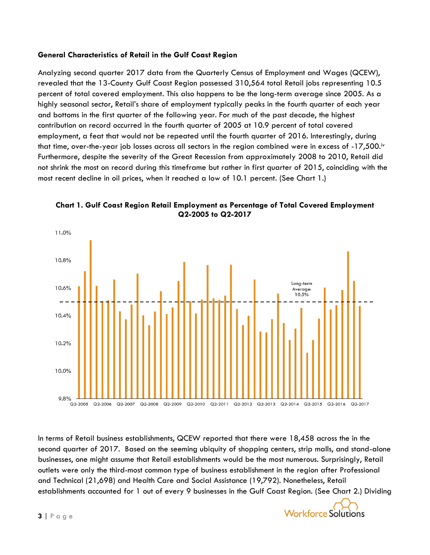### **General Characteristics of Retail in the Gulf Coast Region**

Analyzing second quarter 2017 data from the Quarterly Census of Employment and Wages (QCEW), revealed that the 13-County Gulf Coast Region possessed 310,564 total Retail jobs representing 10.5 percent of total covered employment. This also happens to be the long-term average since 2005. As a highly seasonal sector, Retail's share of employment typically peaks in the fourth quarter of each year and bottoms in the first quarter of the following year. For much of the past decade, the highest contribution on record occurred in the fourth quarter of 2005 at 10.9 percent of total covered employment, a feat that would not be repeated until the fourth quarter of 2016. Interestingly, during that time, over-the-year job losses across all sectors in the region combined were in excess of -17,500.iv Furthermore, despite the severity of the Great Recession from approximately 2008 to 2010, Retail did not shrink the most on record during this timeframe but rather in first quarter of 2015, coinciding with the most recent decline in oil prices, when it reached a low of 10.1 percent. (See Chart 1.)



**Chart 1. Gulf Coast Region Retail Employment as Percentage of Total Covered Employment Q2-2005 to Q2-2017**

In terms of Retail business establishments, QCEW reported that there were 18,458 across the in the second quarter of 2017. Based on the seeming ubiquity of shopping centers, strip malls, and stand-alone businesses, one might assume that Retail establishments would be the most numerous. Surprisingly, Retail outlets were only the third-most common type of business establishment in the region after Professional and Technical (21,698) and Health Care and Social Assistance (19,792). Nonetheless, Retail establishments accounted for 1 out of every 9 businesses in the Gulf Coast Region. (See Chart 2.) Dividing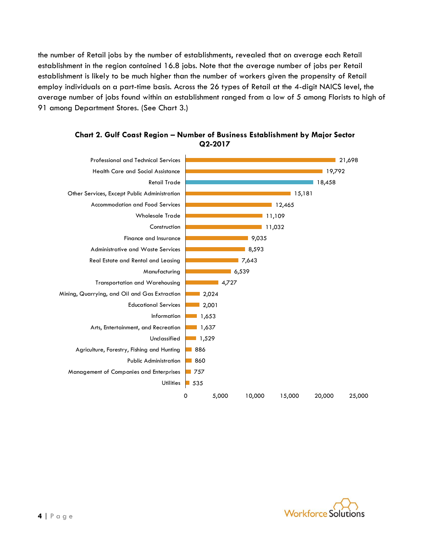the number of Retail jobs by the number of establishments, revealed that on average each Retail establishment in the region contained 16.8 jobs. Note that the average number of jobs per Retail establishment is likely to be much higher than the number of workers given the propensity of Retail employ individuals on a part-time basis. Across the 26 types of Retail at the 4-digit NAICS level, the average number of jobs found within an establishment ranged from a low of 5 among Florists to high of 91 among Department Stores. (See Chart 3.)





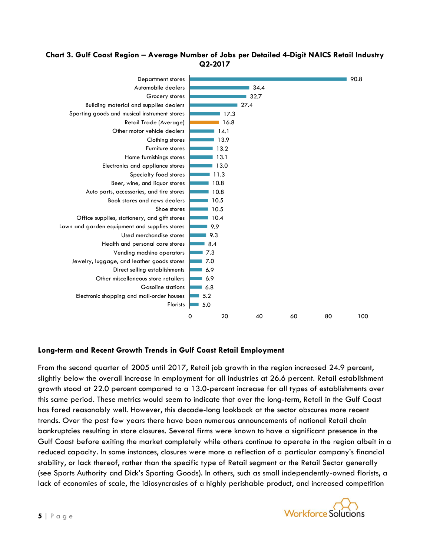## **Chart 3. Gulf Coast Region – Average Number of Jobs per Detailed 4-Digit NAICS Retail Industry Q2-2017**



# **Long-term and Recent Growth Trends in Gulf Coast Retail Employment**

From the second quarter of 2005 until 2017, Retail job growth in the region increased 24.9 percent, slightly below the overall increase in employment for all industries at 26.6 percent. Retail establishment growth stood at 22.0 percent compared to a 13.0-percent increase for all types of establishments over this same period. These metrics would seem to indicate that over the long-term, Retail in the Gulf Coast has fared reasonably well. However, this decade-long lookback at the sector obscures more recent trends. Over the past few years there have been numerous announcements of national Retail chain bankruptcies resulting in store closures. Several firms were known to have a significant presence in the Gulf Coast before exiting the market completely while others continue to operate in the region albeit in a reduced capacity. In some instances, closures were more a reflection of a particular company's financial stability, or lack thereof, rather than the specific type of Retail segment or the Retail Sector generally (see Sports Authority and Dick's Sporting Goods). In others, such as small independently-owned florists, a lack of economies of scale, the idiosyncrasies of a highly perishable product, and increased competition

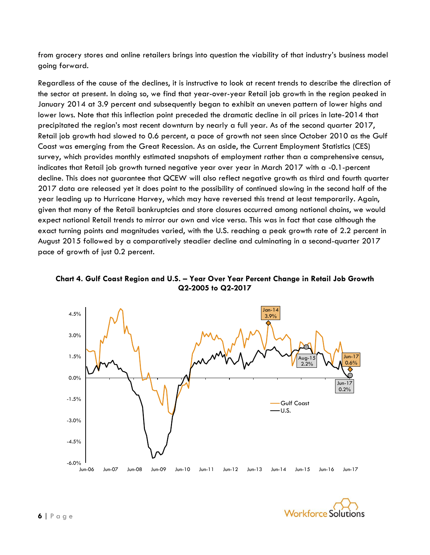from grocery stores and online retailers brings into question the viability of that industry's business model going forward.

Regardless of the cause of the declines, it is instructive to look at recent trends to describe the direction of the sector at present. In doing so, we find that year-over-year Retail job growth in the region peaked in January 2014 at 3.9 percent and subsequently began to exhibit an uneven pattern of lower highs and lower lows. Note that this inflection point preceded the dramatic decline in oil prices in late-2014 that precipitated the region's most recent downturn by nearly a full year. As of the second quarter 2017, Retail job growth had slowed to 0.6 percent, a pace of growth not seen since October 2010 as the Gulf Coast was emerging from the Great Recession. As an aside, the Current Employment Statistics (CES) survey, which provides monthly estimated snapshots of employment rather than a comprehensive census, indicates that Retail job growth turned negative year over year in March 2017 with a -0.1-percent decline. This does not guarantee that QCEW will also reflect negative growth as third and fourth quarter 2017 data are released yet it does point to the possibility of continued slowing in the second half of the year leading up to Hurricane Harvey, which may have reversed this trend at least temporarily. Again, given that many of the Retail bankruptcies and store closures occurred among national chains, we would expect national Retail trends to mirror our own and vice versa. This was in fact that case although the exact turning points and magnitudes varied, with the U.S. reaching a peak growth rate of 2.2 percent in August 2015 followed by a comparatively steadier decline and culminating in a second-quarter 2017 pace of growth of just 0.2 percent.

**Chart 4. Gulf Coast Region and U.S. – Year Over Year Percent Change in Retail Job Growth Q2-2005 to Q2-2017**



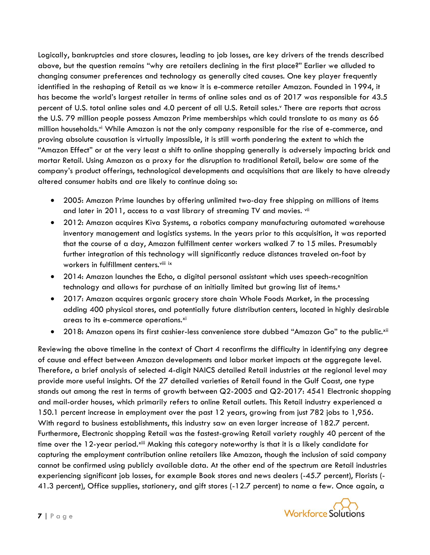Logically, bankruptcies and store closures, leading to job losses, are key drivers of the trends described above, but the question remains "why are retailers declining in the first place?" Earlier we alluded to changing consumer preferences and technology as generally cited causes. One key player frequently identified in the reshaping of Retail as we know it is e-commerce retailer Amazon. Founded in 1994, it has become the world's largest retailer in terms of online sales and as of 2017 was responsible for 43.5 percent of U.S. total online sales and 4.0 percent of all U.S. Retail sales.<sup>v</sup> There are reports that across the U.S. 79 million people possess Amazon Prime memberships which could translate to as many as 66 million households.<sup>vi</sup> While Amazon is not the only company responsible for the rise of e-commerce, and proving absolute causation is virtually impossible, it is still worth pondering the extent to which the "Amazon Effect" or at the very least a shift to online shopping generally is adversely impacting brick and mortar Retail. Using Amazon as a proxy for the disruption to traditional Retail, below are some of the company's product offerings, technological developments and acquisitions that are likely to have already altered consumer habits and are likely to continue doing so:

- 2005: Amazon Prime launches by offering unlimited two-day free shipping on millions of items and later in 2011, access to a vast library of streaming TV and movies. vii
- 2012: Amazon acquires Kiva Systems, a robotics company manufacturing automated warehouse inventory management and logistics systems. In the years prior to this acquisition, it was reported that the course of a day, Amazon fulfillment center workers walked 7 to 15 miles. Presumably further integration of this technology will significantly reduce distances traveled on-foot by workers in fulfillment centers.<sup>viii ix</sup>
- 2014: Amazon launches the Echo, a digital personal assistant which uses speech-recognition technology and allows for purchase of an initially limited but growing list of items.<sup>x</sup>
- 2017: Amazon acquires organic grocery store chain Whole Foods Market, in the processing adding 400 physical stores, and potentially future distribution centers, located in highly desirable areas to its e-commerce operations.xi
- 2018: Amazon opens its first cashier-less convenience store dubbed "Amazon Go" to the public.xii

Reviewing the above timeline in the context of Chart 4 reconfirms the difficulty in identifying any degree of cause and effect between Amazon developments and labor market impacts at the aggregate level. Therefore, a brief analysis of selected 4-digit NAICS detailed Retail industries at the regional level may provide more useful insights. Of the 27 detailed varieties of Retail found in the Gulf Coast, one type stands out among the rest in terms of growth between Q2-2005 and Q2-2017: 4541 Electronic shopping and mail-order houses, which primarily refers to online Retail outlets. This Retail industry experienced a 150.1 percent increase in employment over the past 12 years, growing from just 782 jobs to 1,956. With regard to business establishments, this industry saw an even larger increase of 182.7 percent. Furthermore, Electronic shopping Retail was the fastest-growing Retail variety roughly 40 percent of the time over the 12-year period.<sup>xiii</sup> Making this category noteworthy is that it is a likely candidate for capturing the employment contribution online retailers like Amazon, though the inclusion of said company cannot be confirmed using publicly available data. At the other end of the spectrum are Retail industries experiencing significant job losses, for example Book stores and news dealers (-45.7 percent), Florists (- 41.3 percent), Office supplies, stationery, and gift stores (-12.7 percent) to name a few. Once again, a

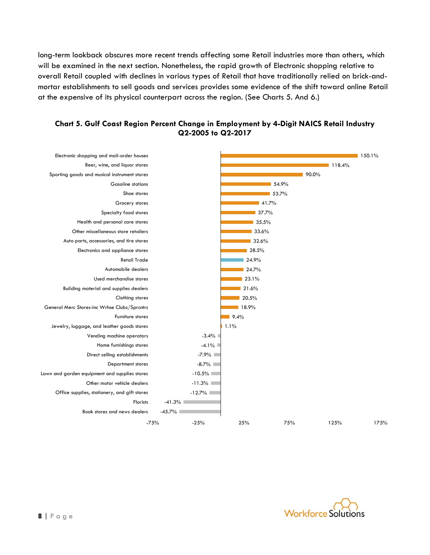long-term lookback obscures more recent trends affecting some Retail industries more than others, which will be examined in the next section. Nonetheless, the rapid growth of Electronic shopping relative to overall Retail coupled with declines in various types of Retail that have traditionally relied on brick-andmortar establishments to sell goods and services provides some evidence of the shift toward online Retail at the expensive of its physical counterpart across the region. (See Charts 5. And 6.)



## **Chart 5. Gulf Coast Region Percent Change in Employment by 4-Digit NAICS Retail Industry Q2-2005 to Q2-2017**

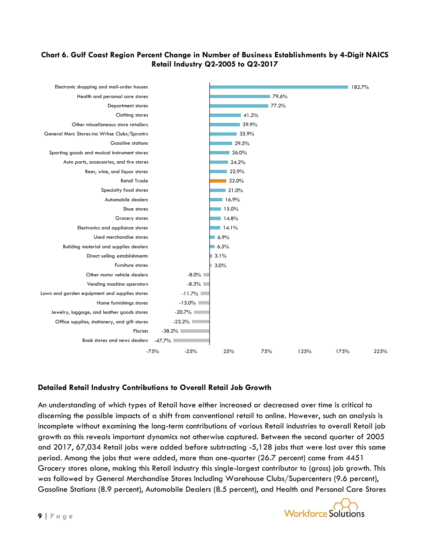## **Chart 6. Gulf Coast Region Percent Change in Number of Business Establishments by 4-Digit NAICS Retail Industry Q2-2005 to Q2-2017**



# **Detailed Retail Industry Contributions to Overall Retail Job Growth**

An understanding of which types of Retail have either increased or decreased over time is critical to discerning the possible impacts of a shift from conventional retail to online. However, such an analysis is incomplete without examining the long-term contributions of various Retail industries to overall Retail job growth as this reveals important dynamics not otherwise captured. Between the second quarter of 2005 and 2017, 67,034 Retail jobs were added before subtracting -5,128 jobs that were lost over this same period. Among the jobs that were added, more than one-quarter (26.7 percent) came from 4451 Grocery stores alone, making this Retail industry this single-largest contributor to (gross) job growth. This was followed by General Merchandise Stores Including Warehouse Clubs/Supercenters (9.6 percent), Gasoline Stations (8.9 percent), Automobile Dealers (8.5 percent), and Health and Personal Care Stores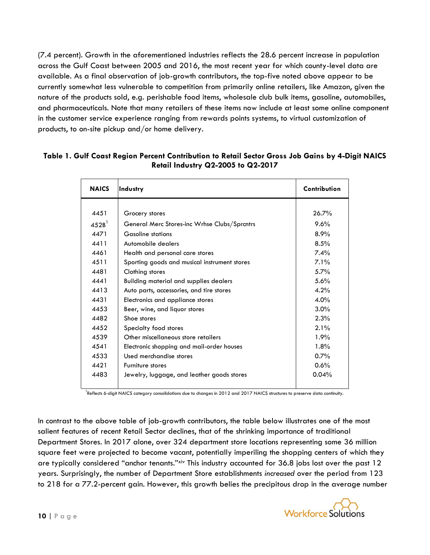(7.4 percent). Growth in the aforementioned industries reflects the 28.6 percent increase in population across the Gulf Coast between 2005 and 2016, the most recent year for which county-level data are available. As a final observation of job-growth contributors, the top-five noted above appear to be currently somewhat less vulnerable to competition from primarily online retailers, like Amazon, given the nature of the products sold, e.g. perishable food items, wholesale club bulk items, gasoline, automobiles, and pharmaceuticals. Note that many retailers of these items now include at least some online component in the customer service experience ranging from rewards points systems, to virtual customization of products, to on-site pickup and/or home delivery.

| <b>NAICS</b>        | Industry                                      | Contribution |
|---------------------|-----------------------------------------------|--------------|
|                     |                                               |              |
| 4451                | Grocery stores                                | 26.7%        |
| $452B$ <sup>1</sup> | General Merc Stores-inc Wrhse Clubs/Sprantrs  | 9.6%         |
| 4471                | <b>Gasoline stations</b>                      | 8.9%         |
| 4411                | Automobile dealers                            | 8.5%         |
| 4461                | Health and personal care stores               | 7.4%         |
| 4511                | Sporting goods and musical instrument stores  | 7.1%         |
| 4481                | Clothing stores                               | 5.7%         |
| 4441                | <b>Building material and supplies dealers</b> | 5.6%         |
| 4413                | Auto parts, accessories, and tire stores      | 4.2%         |
| 4431                | Electronics and appliance stores              | $4.0\%$      |
| 4453                | Beer, wine, and liquor stores                 | 3.0%         |
| 4482                | Shoe stores                                   | 2.3%         |
| 4452                | Specialty food stores                         | 2.1%         |
| 4539                | Other miscellaneous store retailers           | 1.9%         |
| 4541                | Electronic shopping and mail-order houses     | 1.8%         |
| 4533                | Used merchandise stores                       | 0.7%         |
| 4421                | Furniture stores                              | 0.6%         |
| 4483                | Jewelry, luggage, and leather goods stores    | 0.04%        |

# **Table 1. Gulf Coast Region Percent Contribution to Retail Sector Gross Job Gains by 4-Digit NAICS Retail Industry Q2-2005 to Q2-2017**

<sup>1</sup>Reflects 6-digit NAICS category consolidations due to changes in 2012 and 2017 NAICS structures to preserve data continuity.

In contrast to the above table of job-growth contributors, the table below illustrates one of the most salient features of recent Retail Sector declines, that of the shrinking importance of traditional Department Stores. In 2017 alone, over 324 department store locations representing some 36 million square feet were projected to become vacant, potentially imperiling the shopping centers of which they are typically considered "anchor tenants."<sup>xiv</sup> This industry accounted for 36.8 jobs lost over the past 12 years. Surprisingly, the number of Department Store establishments *increased* over the period from 123 to 218 for a 77.2-percent gain. However, this growth belies the precipitous drop in the average number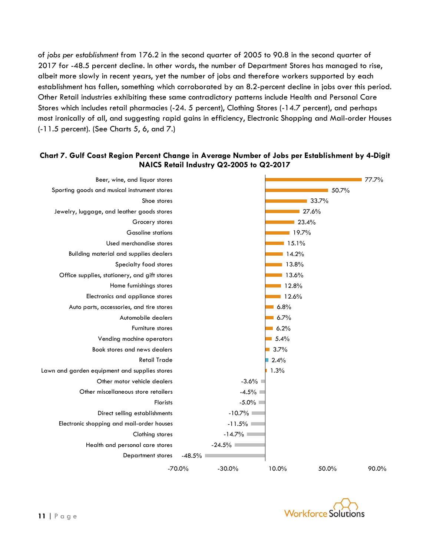of *jobs per establishment* from 176.2 in the second quarter of 2005 to 90.8 in the second quarter of 2017 for -48.5 percent decline. In other words, the number of Department Stores has managed to rise, albeit more slowly in recent years, yet the number of jobs and therefore workers supported by each establishment has fallen, something which corroborated by an 8.2-percent decline in jobs over this period. Other Retail industries exhibiting these same contradictory patterns include Health and Personal Care Stores which includes retail pharmacies (-24. 5 percent), Clothing Stores (-14.7 percent), and perhaps most ironically of all, and suggesting rapid gains in efficiency, Electronic Shopping and Mail-order Houses (-11.5 percent). (See Charts 5, 6, and 7.)

## **Chart 7. Gulf Coast Region Percent Change in Average Number of Jobs per Establishment by 4-Digit NAICS Retail Industry Q2-2005 to Q2-2017**



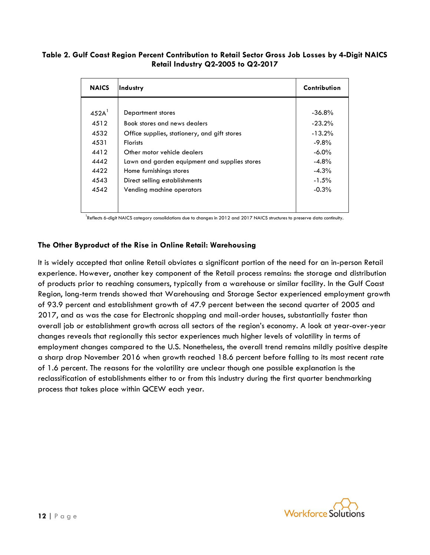#### **Table 2. Gulf Coast Region Percent Contribution to Retail Sector Gross Job Losses by 4-Digit NAICS Retail Industry Q2-2005 to Q2-2017**

| <b>NAICS</b>        | Industry                                      | Contribution |
|---------------------|-----------------------------------------------|--------------|
|                     |                                               |              |
| $452A$ <sup>1</sup> | Department stores                             | $-36.8\%$    |
| 4512                | Book stores and news dealers                  | $-23.2%$     |
| 4532                | Office supplies, stationery, and gift stores  | $-13.2%$     |
| 4531                | <b>Florists</b>                               | $-9.8\%$     |
| 4412                | Other motor vehicle dealers                   | $-6.0\%$     |
| 4442                | Lawn and garden equipment and supplies stores | $-4.8%$      |
| 4422                | Home furnishings stores                       | $-4.3\%$     |
| 4543                | Direct selling establishments                 | $-1.5\%$     |
| 4542                | Vending machine operators                     | $-0.3%$      |
|                     |                                               |              |
|                     |                                               |              |

<sup>1</sup>Reflects 6-digit NAICS category consolidations due to changes in 2012 and 2017 NAICS structures to preserve data continuity.

## **The Other Byproduct of the Rise in Online Retail: Warehousing**

It is widely accepted that online Retail obviates a significant portion of the need for an in-person Retail experience. However, another key component of the Retail process remains: the storage and distribution of products prior to reaching consumers, typically from a warehouse or similar facility. In the Gulf Coast Region, long-term trends showed that Warehousing and Storage Sector experienced employment growth of 93.9 percent and establishment growth of 47.9 percent between the second quarter of 2005 and 2017, and as was the case for Electronic shopping and mail-order houses, substantially faster than overall job or establishment growth across all sectors of the region's economy. A look at year-over-year changes reveals that regionally this sector experiences much higher levels of volatility in terms of employment changes compared to the U.S. Nonetheless, the overall trend remains mildly positive despite a sharp drop November 2016 when growth reached 18.6 percent before falling to its most recent rate of 1.6 percent. The reasons for the volatility are unclear though one possible explanation is the reclassification of establishments either to or from this industry during the first quarter benchmarking process that takes place within QCEW each year.

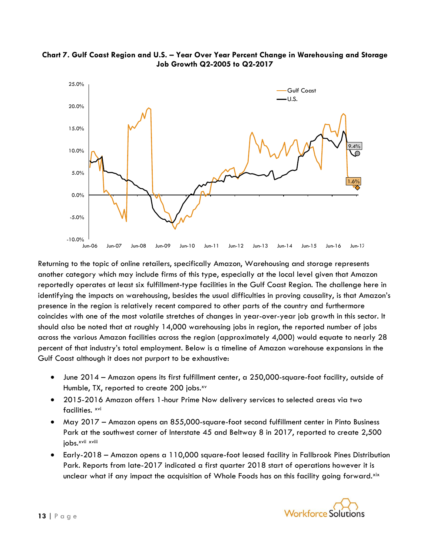

## **Chart 7. Gulf Coast Region and U.S. – Year Over Year Percent Change in Warehousing and Storage Job Growth Q2-2005 to Q2-2017**

Returning to the topic of online retailers, specifically Amazon, Warehousing and storage represents another category which may include firms of this type, especially at the local level given that Amazon reportedly operates at least six fulfillment-type facilities in the Gulf Coast Region. The challenge here in identifying the impacts on warehousing, besides the usual difficulties in proving causality, is that Amazon's presence in the region is relatively recent compared to other parts of the country and furthermore coincides with one of the most volatile stretches of changes in year-over-year job growth in this sector. It should also be noted that at roughly 14,000 warehousing jobs in region, the reported number of jobs across the various Amazon facilities across the region (approximately 4,000) would equate to nearly 28 percent of that industry's total employment. Below is a timeline of Amazon warehouse expansions in the Gulf Coast although it does not purport to be exhaustive:

- June 2014 Amazon opens its first fulfillment center, a 250,000-square-foot facility, outside of Humble, TX, reported to create 200 jobs.<sup>xv</sup>
- 2015-2016 Amazon offers 1-hour Prime Now delivery services to selected areas via two facilities. xvi
- May 2017 Amazon opens an 855,000-square-foot second fulfillment center in Pinto Business Park at the southwest corner of Interstate 45 and Beltway 8 in 2017, reported to create 2,500 jobs.xvii xviii
- Early-2018 Amazon opens a 110,000 square-foot leased facility in Fallbrook Pines Distribution Park. Reports from late-2017 indicated a first quarter 2018 start of operations however it is unclear what if any impact the acquisition of Whole Foods has on this facility going forward.<sup>xix</sup>

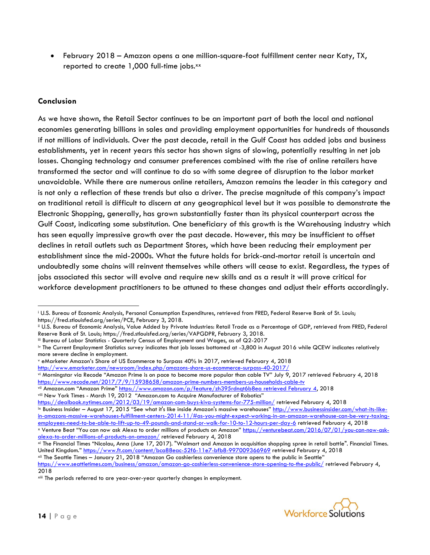• February 2018 – Amazon opens a one million-square-foot fulfillment center near Katy, TX, reported to create 1,000 full-time jobs.<sup>xx</sup>

## **Conclusion**

 $\overline{\phantom{a}}$ 

As we have shown, the Retail Sector continues to be an important part of both the local and national economies generating billions in sales and providing employment opportunities for hundreds of thousands if not millions of individuals. Over the past decade, retail in the Gulf Coast has added jobs and business establishments, yet in recent years this sector has shown signs of slowing, potentially resulting in net job losses. Changing technology and consumer preferences combined with the rise of online retailers have transformed the sector and will continue to do so with some degree of disruption to the labor market unavoidable. While there are numerous online retailers, Amazon remains the leader in this category and is not only a reflection of these trends but also a driver. The precise magnitude of this company's impact on traditional retail is difficult to discern at any geographical level but it was possible to demonstrate the Electronic Shopping, generally, has grown substantially faster than its physical counterpart across the Gulf Coast, indicating some substitution. One beneficiary of this growth is the Warehousing industry which has seen equally impressive growth over the past decade. However, this may be insufficient to offset declines in retail outlets such as Department Stores, which have been reducing their employment per establishment since the mid-2000s. What the future holds for brick-and-mortar retail is uncertain and undoubtedly some chains will reinvent themselves while others will cease to exist. Regardless, the types of jobs associated this sector will evolve and require new skills and as a result it will prove critical for workforce development practitioners to be attuned to these changes and adjust their efforts accordingly.

iii Bureau of Labor Statistics - Quarterly Census of Employment and Wages, as of Q2-2017

<sup>v</sup> eMarketer Amazon's Share of US Ecommerce to Surpass 40% In 2017, retrieved February 4, 2018

xii The Seattle Times – January 21, 2018 "Amazon Go cashierless convenience store opens to the public in Seattle"



<sup>i</sup> U.S. Bureau of Economic Analysis, Personal Consumption Expenditures, retrieved from FRED, Federal Reserve Bank of St. Louis; https://fred.stlouisfed.org/series/PCE, February 3, 2018.

ii U.S. Bureau of Economic Analysis, Value Added by Private Industries: Retail Trade as a Percentage of GDP, retrieved from FRED, Federal Reserve Bank of St. Louis; https://fred.stlouisfed.org/series/VAPGDPR, February 3, 2018.

iv The Current Employment Statistics survey indicates that job losses bottomed at -3,800 in August 2016 while QCEW indicates relatively more severe decline in employment.

<http://www.emarketer.com/newsroom/index.php/amazons-share-us-ecommerce-surpass-40-2017/> vi Morningstar via Recode "Amazon Prime is on pace to become more popular than cable TV" July 9, 2017 retrieved February 4, 2018 <https://www.recode.net/2017/7/9/15938658/amazon-prime-numbers-members-us-households-cable-tv>

vii Amazon.com "Amazon Prime" [https://www.amazon.com/p/feature/zh395rdnqt6b8ea retrieved February 4,](https://www.amazon.com/p/feature/zh395rdnqt6b8ea%20retrieved%20February%204) 2018 viii New York Times - March 19, 2012 "Amazon.com to Acquire Manufacturer of Robotics"

<https://dealbook.nytimes.com/2012/03/19/amazon-com-buys-kiva-systems-for-775-million/> retrieved February 4, 2018

<sup>&</sup>lt;sup>ix</sup> Business Insider – August 17, 2015 "See what it's like inside Amazon's massive warehouses" [http://www.businessinsider.com/what-its-like](http://www.businessinsider.com/what-its-like-in-amazons-massive-warehouses-fulfillment-centers-2014-11/#as-you-might-expect-working-in-an-amazon-warehouse-can-be-very-taxing-employees-need-to-be-able-to-lift-up-to-49-pounds-and-stand-or-walk-for-10-to-12-hours-per-day-6)[in-amazons-massive-warehouses-fulfillment-centers-2014-11/#as-you-might-expect-working-in-an-amazon-warehouse-can-be-very-taxing](http://www.businessinsider.com/what-its-like-in-amazons-massive-warehouses-fulfillment-centers-2014-11/#as-you-might-expect-working-in-an-amazon-warehouse-can-be-very-taxing-employees-need-to-be-able-to-lift-up-to-49-pounds-and-stand-or-walk-for-10-to-12-hours-per-day-6)[employees-need-to-be-able-to-lift-up-to-49-pounds-and-stand-or-walk-for-10-to-12-hours-per-day-6](http://www.businessinsider.com/what-its-like-in-amazons-massive-warehouses-fulfillment-centers-2014-11/#as-you-might-expect-working-in-an-amazon-warehouse-can-be-very-taxing-employees-need-to-be-able-to-lift-up-to-49-pounds-and-stand-or-walk-for-10-to-12-hours-per-day-6) retrieved February 4, 2018

x Venture Beat "You can now ask Alexa to order millions of products on Amazon" [https://venturebeat.com/2016/07/01/you-can-now-ask](https://venturebeat.com/2016/07/01/you-can-now-ask-alexa-to-order-millions-of-products-on-amazon/)[alexa-to-order-millions-of-products-on-amazon/](https://venturebeat.com/2016/07/01/you-can-now-ask-alexa-to-order-millions-of-products-on-amazon/) retrieved February 4, 2018

xi The Financial Times "Nicolau, Anna (June 17, 2017). "Walmart and Amazon in acquisition shopping spree in retail battle". Financial Times. United Kingdom." <https://www.ft.com/content/bca88eac-52f6-11e7-bfb8-997009366969> retrieved February 4, 2018

<https://www.seattletimes.com/business/amazon/amazon-go-cashierless-convenience-store-opening-to-the-public/> retrieved February 4, 2018

xiii The periods referred to are year-over-year quarterly changes in employment.